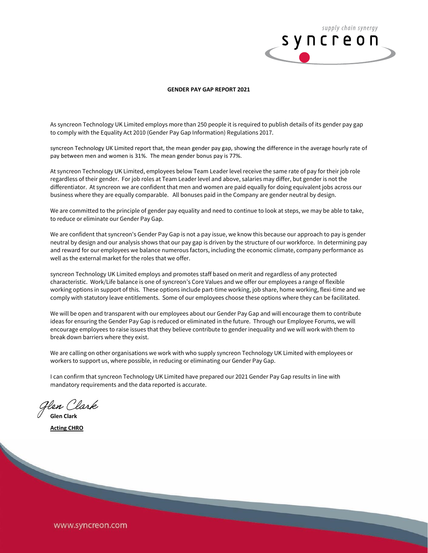

## **GENDER PAY GAP REPORT 2021**

As syncreon Technology UK Limited employs more than 250 people it is required to publish details of its gender pay gap to comply with the Equality Act 2010 (Gender Pay Gap Information) Regulations 2017.

syncreon Technology UK Limited report that, the mean gender pay gap, showing the difference in the average hourly rate of pay between men and women is 31%. The mean gender bonus pay is 77%.

At syncreon Technology UK Limited, employees below Team Leader level receive the same rate of pay for their job role regardless of their gender. For job roles at Team Leader level and above, salaries may differ, but gender is not the differentiator. At syncreon we are confident that men and women are paid equally for doing equivalent jobs across our business where they are equally comparable. All bonuses paid in the Company are gender neutral by design.

We are committed to the principle of gender pay equality and need to continue to look at steps, we may be able to take, to reduce or eliminate our Gender Pay Gap.

We are confident that syncreon's Gender Pay Gap is not a pay issue, we know this because our approach to pay is gender neutral by design and our analysis shows that our pay gap is driven by the structure of our workforce. In determining pay and reward for our employees we balance numerous factors, including the economic climate, company performance as well as the external market for the roles that we offer.

syncreon Technology UK Limited employs and promotes staff based on merit and regardless of any protected characteristic. Work/Life balance is one of syncreon's Core Values and we offer our employees a range of flexible working options in support of this. These options include part-time working, job share, home working, flexi-time and we comply with statutory leave entitlements. Some of our employees choose these options where they can be facilitated.

We will be open and transparent with our employees about our Gender Pay Gap and will encourage them to contribute ideas for ensuring the Gender Pay Gap is reduced or eliminated in the future. Through our Employee Forums, we will encourage employees to raise issues that they believe contribute to gender inequality and we will work with them to break down barriers where they exist.

We are calling on other organisations we work with who supply syncreon Technology UK Limited with employees or workers to support us, where possible, in reducing or eliminating our Gender Pay Gap.

I can confirm that syncreon Technology UK Limited have prepared our 2021 Gender Pay Gap results in line with mandatory requirements and the data reported is accurate.

Hen Clark

**Glen Clark Acting CHRO**